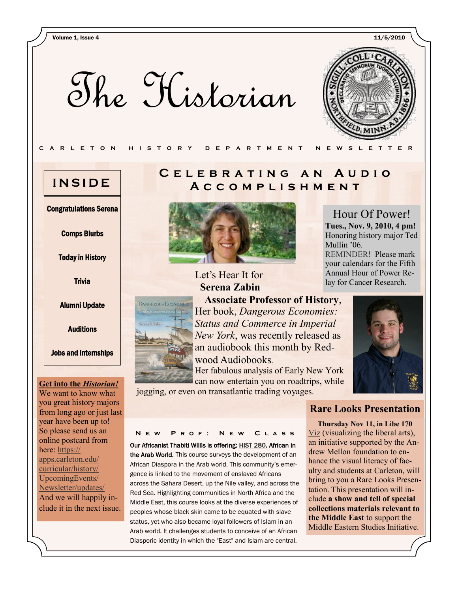Volume 1, Issue 4 11/5/2010

The Historian

**DANGEROUS ECONOMIES** 



Hour Of Power! **Tues., Nov. 9, 2010, 4 pm!** Honoring history major Ted

[REMINDER!](http://apps.carleton.edu/athletics/varsity_sports/mens_swimming_and_diving/hour_of_power_relay/) Please mark your calendars for the Fifth Annual Hour of Power Relay for Cancer Research.

Mullin '06.

#### **C A R L E T O N H I S T O R Y D E P A R T M E N T N E W S L E T T E R**

Congratulations Serena

Comps Blurbs

Today in History

**Trivia** 

Alumni Update

**Auditions** 

Jobs and Internships

#### **Get into the** *Historian!*

We want to know what you great history majors from long ago or just last year have been up to! So please send us an online postcard from here: [https://](https://apps.carleton.edu/curricular/history/UpcomingEvents/Newsletter/updates/) [apps.carleton.edu/](https://apps.carleton.edu/curricular/history/UpcomingEvents/Newsletter/updates/) [curricular/history/](https://apps.carleton.edu/curricular/history/UpcomingEvents/Newsletter/updates/) [UpcomingEvents/](https://apps.carleton.edu/curricular/history/UpcomingEvents/Newsletter/updates/) [Newsletter/updates/](https://apps.carleton.edu/curricular/history/UpcomingEvents/Newsletter/updates/) And we will happily include it in the next issue.

### **C e l e b r a t i n g a n A u d i o INSIDE** A C C O M P L I S H M E N T



### Let's Hear It for **[Serena Zabin](http://apps.carleton.edu/campus/weekly/?story_id=680548&issue_id=653388)**

**Associate Professor of History**, Her book, *Dangerous Economies: Status and Commerce in Imperial New York*, was recently released as an audiobook this month by Redwood Audiobooks.

Her fabulous analysis of Early New York can now entertain you on roadtrips, while



jogging, or even on transatlantic trading voyages.

#### **N e w P r o f : N e w C l a s s**

Our Africanist Thabiti Willis is offering: [HIST 280.](http://apps.carleton.edu/catalog/catalog.php?dept=HIST&year=2010#) African in the Arab World. This course surveys the development of an African Diaspora in the Arab world. This community's emergence is linked to the movement of enslaved Africans across the Sahara Desert, up the Nile valley, and across the Red Sea. Highlighting communities in North Africa and the Middle East, this course looks at the diverse experiences of peoples whose black skin came to be equated with slave status, yet who also became loyal followers of Islam in an Arab world. It challenges students to conceive of an African Diasporic identity in which the "East" and Islam are central.

#### **Rare Looks Presentation**

**Thursday Nov 11, in Libe 170**  [Viz](http://apps.carleton.edu/campus/viz/) (visualizing the liberal arts), an initiative supported by the Andrew Mellon foundation to enhance the visual literacy of faculty and students at Carleton, will bring to you a Rare Looks Presentation. This presentation will include **a show and tell of special collections materials relevant to the Middle East** to support the Middle Eastern Studies Initiative.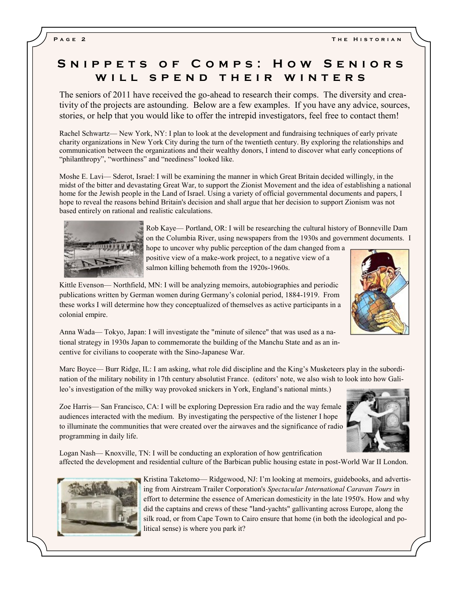### SNIPPETS OF COMPS: HOW SENIORS WILL SPEND THEIR WINTERS

The seniors of 2011 have received the go-ahead to research their comps. The diversity and creativity of the projects are astounding. Below are a few examples. If you have any advice, sources, stories, or help that you would like to offer the intrepid investigators, feel free to contact them!

Rachel Schwartz— New York, NY: I plan to look at the development and fundraising techniques of early private charity organizations in New York City during the turn of the twentieth century. By exploring the relationships and communication between the organizations and their wealthy donors, I intend to discover what early conceptions of "philanthropy", "worthiness" and "neediness" looked like.

Moshe E. Lavi— Sderot, Israel: I will be examining the manner in which Great Britain decided willingly, in the midst of the bitter and devastating Great War, to support the Zionist Movement and the idea of establishing a national home for the Jewish people in the Land of Israel. Using a variety of official governmental documents and papers, I hope to reveal the reasons behind Britain's decision and shall argue that her decision to support Zionism was not based entirely on rational and realistic calculations.



Rob Kaye— Portland, OR: I will be researching the cultural history of Bonneville Dam on the Columbia River, using newspapers from the 1930s and government documents. I

hope to uncover why public perception of the dam changed from a positive view of a make-work project, to a negative view of a salmon killing behemoth from the 1920s-1960s.

Kittle Evenson— Northfield, MN: I will be analyzing memoirs, autobiographies and periodic publications written by German women during Germany's colonial period, 1884-1919. From these works I will determine how they conceptualized of themselves as active participants in a colonial empire.



Anna Wada— Tokyo, Japan: I will investigate the "minute of silence" that was used as a national strategy in 1930s Japan to commemorate the building of the Manchu State and as an incentive for civilians to cooperate with the Sino-Japanese War.

Marc Boyce— Burr Ridge, IL: I am asking, what role did discipline and the King's Musketeers play in the subordination of the military nobility in 17th century absolutist France. (editors' note, we also wish to look into how Galileo's investigation of the milky way provoked snickers in York, England's national mints.)

Zoe Harris— San Francisco, CA: I will be exploring Depression Era radio and the way female audiences interacted with the medium. By investigating the perspective of the listener I hope to illuminate the communities that were created over the airwaves and the significance of radio programming in daily life.



Logan Nash— Knoxville, TN: I will be conducting an exploration of how gentrification affected the development and residential culture of the Barbican public housing estate in post-World War II London.



Kristina Taketomo— Ridgewood, NJ: I'm looking at memoirs, guidebooks, and advertising from Airstream Trailer Corporation's *Spectacular International Caravan Tours* in effort to determine the essence of American domesticity in the late 1950's. How and why did the captains and crews of these "land-yachts" gallivanting across Europe, along the silk road, or from Cape Town to Cairo ensure that home (in both the ideological and political sense) is where you park it?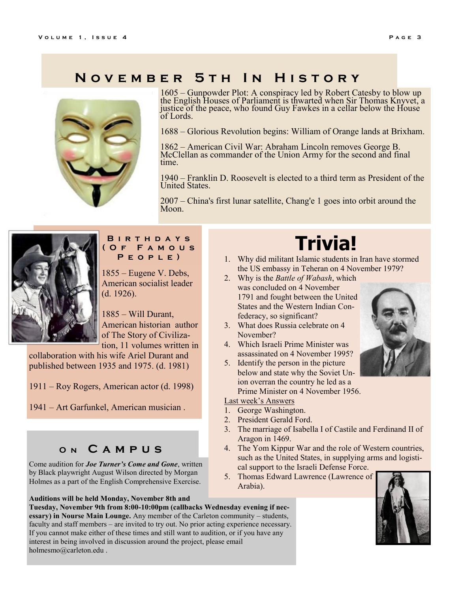### **N o v e m b e r 5 t h I n H i s t o r y**



[1605](http://en.wikipedia.org/wiki/1605) – [Gunpowder Plot:](http://en.wikipedia.org/wiki/Gunpowder_Plot) A conspiracy led by [Robert Catesby](http://en.wikipedia.org/wiki/Robert_Catesby) to blow up the English [Houses of Parliament](http://en.wikipedia.org/wiki/Palace_of_Westminster) is thwarted when Sir [Thomas Knyvet,](http://en.wikipedia.org/wiki/Thomas_Knyvet,_1st_Baron_Knyvet) a justice of the peace, who found [Guy Fawkes](http://en.wikipedia.org/wiki/Guy_Fawkes) in a cellar below the [House](http://en.wikipedia.org/wiki/House_of_Lords)  [of Lords.](http://en.wikipedia.org/wiki/House_of_Lords)

[1688](http://en.wikipedia.org/wiki/1688) – [Glorious Revolution](http://en.wikipedia.org/wiki/Glorious_Revolution) begins: [William of Orange l](http://en.wikipedia.org/wiki/William_III_of_England)ands at [Brixham.](http://en.wikipedia.org/wiki/Brixham)

[1862](http://en.wikipedia.org/wiki/1862) – [American Civil War:](http://en.wikipedia.org/wiki/American_Civil_War) [Abraham Lincoln](http://en.wikipedia.org/wiki/Abraham_Lincoln) removes [George B.](http://en.wikipedia.org/wiki/George_B._McClellan)  [McClellan](http://en.wikipedia.org/wiki/George_B._McClellan) as commander of the [Union Army](http://en.wikipedia.org/wiki/Union_Army) for the second and final time.

[1940](http://en.wikipedia.org/wiki/1940) – [Franklin D. Roosevelt](http://en.wikipedia.org/wiki/Franklin_D._Roosevelt) is elected to a third term as [President of the](http://en.wikipedia.org/wiki/President_of_the_United_States)  [United States.](http://en.wikipedia.org/wiki/President_of_the_United_States)

[2007](http://en.wikipedia.org/wiki/2007) – [China'](http://en.wikipedia.org/wiki/China)s first lunar satellite, [Chang'e 1](http://en.wikipedia.org/wiki/Chang%27e_1) goes into orbit around the Moon.



#### **B i r t h d a y s ( O f F a m o u s P e o p l e )**

1855 – [Eugene V. Debs,](http://en.wikipedia.org/wiki/Eugene_V._Debs) American socialist leader (d. 1926).

[1885](http://en.wikipedia.org/wiki/1885) – [Will Durant,](http://en.wikipedia.org/wiki/Will_Durant)  American historian author of [The Story of Civiliza](http://en.wikipedia.org/wiki/The_Story_of_Civilization)[tion,](http://en.wikipedia.org/wiki/The_Story_of_Civilization) 11 volumes written in

collaboration with his wife [Ariel Durant](http://en.wikipedia.org/wiki/Ariel_Durant) and published between 1935 and 1975. (d. 1981)

[1911](http://en.wikipedia.org/wiki/1911) – [Roy Rogers,](http://en.wikipedia.org/wiki/Roy_Rogers) American actor (d. 1998)

[1941](http://en.wikipedia.org/wiki/1941) – [Art Garfunkel,](http://en.wikipedia.org/wiki/Art_Garfunkel) American musician .

### **O n C a m p u s**

Come audition for *Joe Turner's Come and Gone*, written by Black playwright August Wilson directed by Morgan Holmes as a part of the English Comprehensive Exercise.

**Auditions will be held Monday, November 8th and Tuesday, November 9th from 8:00-10:00pm (callbacks Wednesday evening if necessary) in Nourse Main Lounge.** Any member of the Carleton community – students, faculty and staff members – are invited to try out. No prior acting experience necessary. If you cannot make either of these times and still want to audition, or if you have any interest in being involved in discussion around the project, please email holmesmo@carleton.edu .

# **Trivia!**

- 1. Why did militant Islamic students in Iran have stormed the US embassy in Teheran on 4 November 1979?
- 2. Why is the *Battle of Wabash*, which was concluded on 4 November 1791 and fought between the United States and the Western Indian Confederacy, so significant?
- 3. What does Russia celebrate on 4 November?
- 4. Which Israeli Prime Minister was assassinated on 4 November 1995?
- 5. Identify the person in the picture below and state why the Soviet Union overran the country he led as a Prime Minister on 4 November 1956.

#### Last week's Answers

- 1. George Washington.
- 2. President Gerald Ford.
- 3. The marriage of Isabella I of Castile and Ferdinand II of Aragon in 1469.
- 4. The Yom Kippur War and the role of Western countries, such as the United States, in supplying arms and logistical support to the Israeli Defense Force.
- 5. Thomas Edward Lawrence (Lawrence of Arabia).